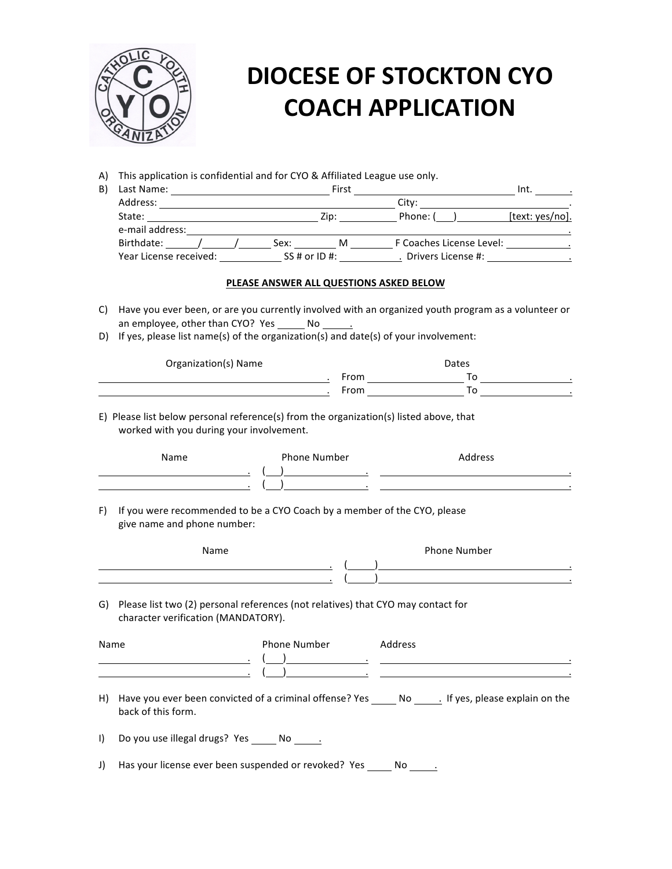

# **DIOCESE OF STOCKTON CYO COACH APPLICATION**

A) This application is confidential and for CYO & Affiliated League use only.

| B) | Last Name:                            |  |      | First         |                          | Int.            |  |
|----|---------------------------------------|--|------|---------------|--------------------------|-----------------|--|
|    | Address:<br>State:<br>e-mail address: |  |      |               | City:                    |                 |  |
|    |                                       |  |      | Zip:          | Phone: (                 | [text: yes/no]. |  |
|    |                                       |  |      |               |                          |                 |  |
|    | Birthdate:                            |  | Sex: | м             | F Coaches License Level: |                 |  |
|    | Year License received:                |  |      | SS # or ID #: | Drivers License #:       |                 |  |

#### PLEASE ANSWER ALL QUESTIONS ASKED BELOW

- C) Have you ever been, or are you currently involved with an organized youth program as a volunteer or an employee, other than CYO? Yes No
- D) If yes, please list name(s) of the organization(s) and date(s) of your involvement:

| Organization(s) Name | <b>Dates</b> |    |  |  |
|----------------------|--------------|----|--|--|
|                      | From         | ™∩ |  |  |
|                      | From         | ™∩ |  |  |

E) Please list below personal reference(s) from the organization(s) listed above, that worked with you during your involvement.

| Name |  | Phone Number | Address |  |
|------|--|--------------|---------|--|
|      |  |              |         |  |
|      |  |              |         |  |

F) If you were recommended to be a CYO Coach by a member of the CYO, please give name and phone number:

| Name | Phone Number |
|------|--------------|
|      | ٠            |
|      | $\bullet$    |

G) Please list two (2) personal references (not relatives) that CYO may contact for character verification (MANDATORY).

| Name         |                                                            | Phone Number<br>the contract of the contract of the contract of the contract of | Address |                                                                                                |
|--------------|------------------------------------------------------------|---------------------------------------------------------------------------------|---------|------------------------------------------------------------------------------------------------|
| H)           | back of this form.                                         |                                                                                 |         | Have you ever been convicted of a criminal offense? Yes No Rigust 1 Sees Please explain on the |
| $\mathbf{D}$ | Do you use illegal drugs? Yes No.                          |                                                                                 |         |                                                                                                |
| J)           | Has your license ever been suspended or revoked? Yes No Ro |                                                                                 |         |                                                                                                |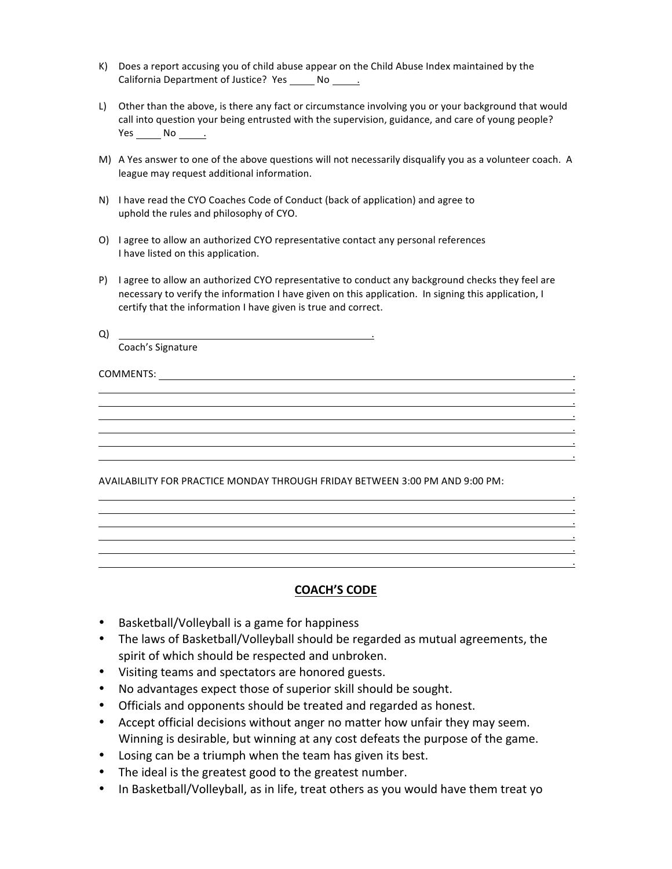- K) Does a report accusing you of child abuse appear on the Child Abuse Index maintained by the California Department of Justice? Yes No .
- L) Other than the above, is there any fact or circumstance involving you or your background that would call into question your being entrusted with the supervision, guidance, and care of young people? Yes No.
- M) A Yes answer to one of the above questions will not necessarily disqualify you as a volunteer coach. A league may request additional information.
- N) I have read the CYO Coaches Code of Conduct (back of application) and agree to uphold the rules and philosophy of CYO.
- O) I agree to allow an authorized CYO representative contact any personal references I have listed on this application.
- P) I agree to allow an authorized CYO representative to conduct any background checks they feel are necessary to verify the information I have given on this application. In signing this application, I certify that the information I have given is true and correct.

 . . . .

 .

 . . .

 .

 . .

 $\begin{bmatrix} \Delta \end{bmatrix}$  and  $\begin{bmatrix} \Delta \end{bmatrix}$  and  $\begin{bmatrix} \Delta \end{bmatrix}$  and  $\begin{bmatrix} \Delta \end{bmatrix}$  and  $\begin{bmatrix} \Delta \end{bmatrix}$  and  $\begin{bmatrix} \Delta \end{bmatrix}$  and  $\begin{bmatrix} \Delta \end{bmatrix}$  and  $\begin{bmatrix} \Delta \end{bmatrix}$  and  $\begin{bmatrix} \Delta \end{bmatrix}$  and  $\begin{bmatrix} \Delta \end{bmatrix}$  and  $\begin{bmatrix} \Delta \end$ Coach's Signature

 $\mathsf{COMMENTS:}$   $\mathsf{COMMENTS:}$   $\mathsf{COMMENTS:}$   $\mathsf{COMMENTS:}$   $\mathsf{COMMENTS:}$   $\mathsf{OMMIN}$ 

AVAILABILITY FOR PRACTICE MONDAY THROUGH FRIDAY BETWEEN 3:00 PM AND 9:00 PM:

#### **COACH'S CODE**

 .

- Basketball/Volleyball is a game for happiness
- The laws of Basketball/Volleyball should be regarded as mutual agreements, the spirit of which should be respected and unbroken.
- Visiting teams and spectators are honored guests.
- No advantages expect those of superior skill should be sought.
- Officials and opponents should be treated and regarded as honest.
- Accept official decisions without anger no matter how unfair they may seem. Winning is desirable, but winning at any cost defeats the purpose of the game.
- Losing can be a triumph when the team has given its best.
- The ideal is the greatest good to the greatest number.
- In Basketball/Volleyball, as in life, treat others as you would have them treat yo